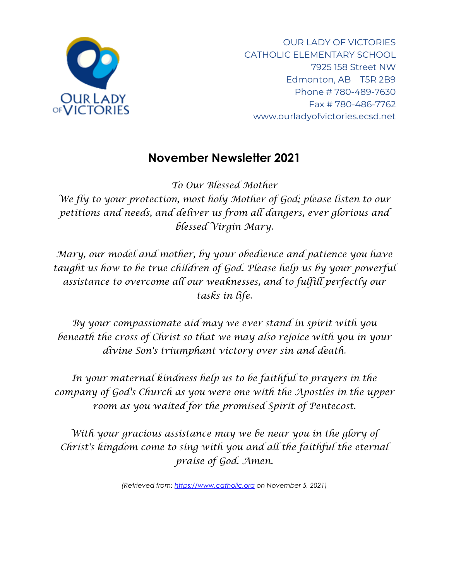

OUR LADY OF VICTORIES CATHOLIC ELEMENTARY SCHOOL 7925 158 Street NW Edmonton, AB T5R 2B9 Phone # 780-489-7630 Fax # 780-486-7762 www.ourladyofvictories.ecsd.net

# **November Newsletter 2021**

*To Our Blessed Mother We fly to your protection, most holy Mother of God; please listen to our petitions and needs, and deliver us from all dangers, ever glorious and blessed Virgin Mary.*

*Mary, our model and mother, by your obedience and patience you have taught us how to be true children of God. Please help us by your powerful assistance to overcome all our weaknesses, and to fulfill perfectly our tasks in life.*

*By your compassionate aid may we ever stand in spirit with you beneath the cross of Christ so that we may also rejoice with you in your divine Son's triumphant victory over sin and death.*

*In your maternal kindness help us to be faithful to prayers in the company of God's Church as you were one with the Apostles in the upper room as you waited for the promised Spirit of Pentecost.*

*With your gracious assistance may we be near you in the glory of Christ's kingdom come to sing with you and all the faithful the eternal praise of God. Amen.*

*(Retrieved from: [https://www.catholic.org](https://www.catholic.org/) on November 5, 2021)*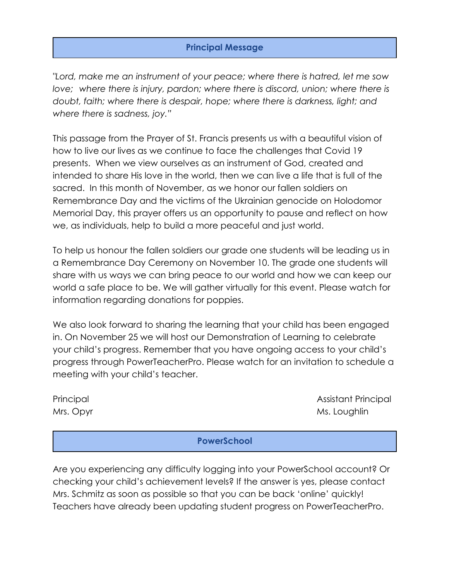## **Principal Message**

*"Lord, make me an instrument of your peace; where there is hatred, let me sow love;* where there is injury, pardon; where there is discord, union; where there is *doubt, faith; where there is despair, hope; where there is darkness, light; and where there is sadness, joy."*

This passage from the Prayer of St. Francis presents us with a beautiful vision of how to live our lives as we continue to face the challenges that Covid 19 presents. When we view ourselves as an instrument of God, created and intended to share His love in the world, then we can live a life that is full of the sacred. In this month of November, as we honor our fallen soldiers on Remembrance Day and the victims of the Ukrainian genocide on Holodomor Memorial Day, this prayer offers us an opportunity to pause and reflect on how we, as individuals, help to build a more peaceful and just world.

To help us honour the fallen soldiers our grade one students will be leading us in a Remembrance Day Ceremony on November 10. The grade one students will share with us ways we can bring peace to our world and how we can keep our world a safe place to be. We will gather virtually for this event. Please watch for information regarding donations for poppies.

We also look forward to sharing the learning that your child has been engaged in. On November 25 we will host our Demonstration of Learning to celebrate your child's progress. Remember that you have ongoing access to your child's progress through PowerTeacherPro. Please watch for an invitation to schedule a meeting with your child's teacher.

Principal Assistant Principal Assistant Principal Assistant Principal Mrs. Opyr Ms. Loughlin

**PowerSchool**

Are you experiencing any difficulty logging into your PowerSchool account? Or checking your child's achievement levels? If the answer is yes, please contact Mrs. Schmitz as soon as possible so that you can be back 'online' quickly! Teachers have already been updating student progress on PowerTeacherPro.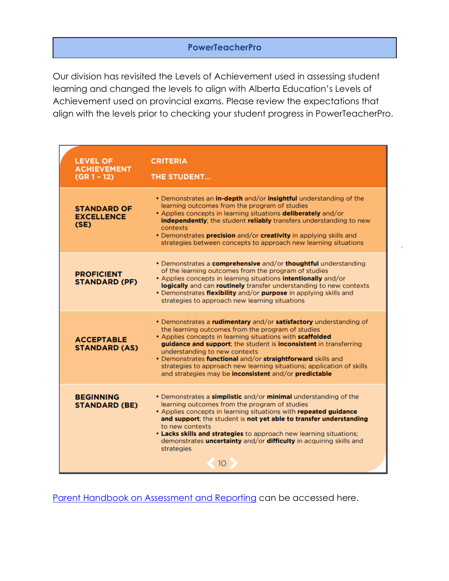## **PowerTeacherPro**

Our division has revisited the Levels of Achievement used in assessing student learning and changed the levels to align with Alberta Education's Levels of Achievement used on provincial exams. Please review the expectations that align with the levels prior to checking your student progress in PowerTeacherPro.

| <b>LEVEL OF</b><br><b>ACHIEVEMENT</b><br>$(GR 1 - 12)$ | <b>CRITERIA</b><br><b>THE STUDENT</b>                                                                                                                                                                                                                                                                                                                                                                                                                                                      |
|--------------------------------------------------------|--------------------------------------------------------------------------------------------------------------------------------------------------------------------------------------------------------------------------------------------------------------------------------------------------------------------------------------------------------------------------------------------------------------------------------------------------------------------------------------------|
| <b>STANDARD OF</b><br><b>EXCELLENCE</b><br>(SE)        | . Demonstrates an in-depth and/or insightful understanding of the<br>learning outcomes from the program of studies<br>• Applies concepts in learning situations deliberately and/or<br>independently; the student reliably transfers understanding to new<br>contexts<br>• Demonstrates precision and/or creativity in applying skills and<br>strategies between concepts to approach new learning situations                                                                              |
| <b>PROFICIENT</b><br><b>STANDARD (PF)</b>              | • Demonstrates a <b>comprehensive</b> and/or <b>thoughtful</b> understanding<br>of the learning outcomes from the program of studies<br>• Applies concepts in learning situations <b>intentionally</b> and/or<br>logically and can routinely transfer understanding to new contexts<br>• Demonstrates flexibility and/or purpose in applying skills and<br>strategies to approach new learning situations                                                                                  |
| <b>ACCEPTABLE</b><br><b>STANDARD (AS)</b>              | • Demonstrates a rudimentary and/or satisfactory understanding of<br>the learning outcomes from the program of studies<br>• Applies concepts in learning situations with scaffolded<br>guidance and support; the student is inconsistent in transferring<br>understanding to new contexts<br>• Demonstrates functional and/or straightforward skills and<br>strategies to approach new learning situations; application of skills<br>and strategies may be inconsistent and/or predictable |
| <b>BEGINNING</b><br><b>STANDARD (BE)</b>               | • Demonstrates a simplistic and/or minimal understanding of the<br>learning outcomes from the program of studies<br>• Applies concepts in learning situations with repeated guidance<br>and support; the student is not yet able to transfer understanding<br>to new contexts<br><b>• Lacks skills and strategies</b> to approach new learning situations;<br>demonstrates <i>uncertainty</i> and/or difficulty in acquiring skills and<br>strategies<br>10 <sup>°</sup>                   |

[Parent Handbook on Assessment and Reporting](https://www.ecsd.net/page/17855/assessment) can be accessed here.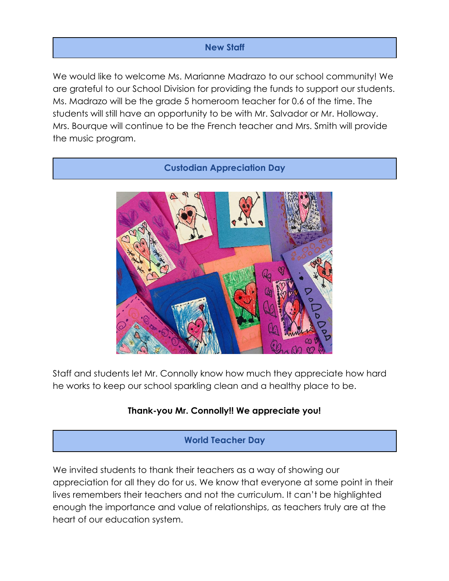## **New Staff**

We would like to welcome Ms. Marianne Madrazo to our school community! We are grateful to our School Division for providing the funds to support our students. Ms. Madrazo will be the grade 5 homeroom teacher for 0.6 of the time. The students will still have an opportunity to be with Mr. Salvador or Mr. Holloway. Mrs. Bourque will continue to be the French teacher and Mrs. Smith will provide the music program.

**Custodian Appreciation Day**



Staff and students let Mr. Connolly know how much they appreciate how hard he works to keep our school sparkling clean and a healthy place to be.

## **Thank-you Mr. Connolly!! We appreciate you!**

**World Teacher Day**

We invited students to thank their teachers as a way of showing our appreciation for all they do for us. We know that everyone at some point in their lives remembers their teachers and not the curriculum. It can't be highlighted enough the importance and value of relationships, as teachers truly are at the heart of our education system.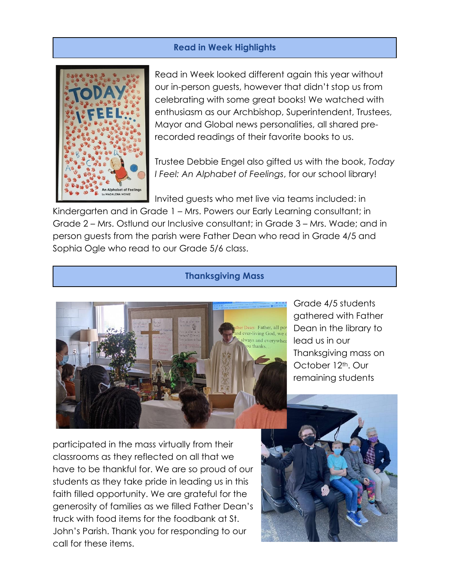#### **Read in Week Highlights**



Read in Week looked different again this year without our in-person guests, however that didn't stop us from celebrating with some great books! We watched with enthusiasm as our Archbishop, Superintendent, Trustees, Mayor and Global news personalities, all shared prerecorded readings of their favorite books to us.

Trustee Debbie Engel also gifted us with the book, *Today I Feel: An Alphabet of Feelings*, for our school library!

Invited guests who met live via teams included: in

Kindergarten and in Grade 1 – Mrs. Powers our Early Learning consultant; in Grade 2 – Mrs. Ostlund our Inclusive consultant; in Grade 3 – Mrs. Wade; and in person guests from the parish were Father Dean who read in Grade 4/5 and Sophia Ogle who read to our Grade 5/6 class.

#### **Thanksgiving Mass**



Grade 4/5 students gathered with Father Dean in the library to lead us in our Thanksgiving mass on October 12<sup>th</sup>, Our remaining students

participated in the mass virtually from their classrooms as they reflected on all that we have to be thankful for. We are so proud of our students as they take pride in leading us in this faith filled opportunity. We are grateful for the generosity of families as we filled Father Dean's truck with food items for the foodbank at St. John's Parish. Thank you for responding to our call for these items.

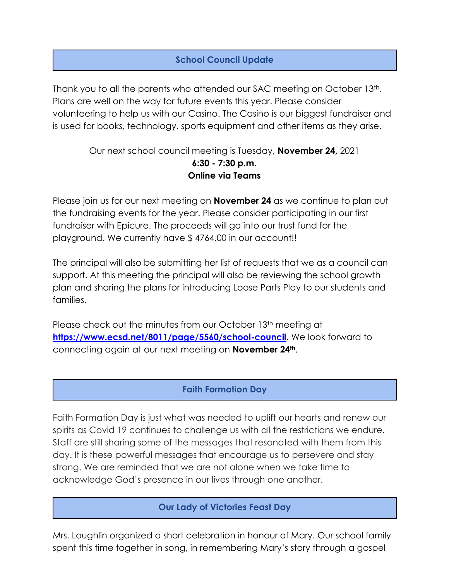# **School Council Update**

Thank you to all the parents who attended our SAC meeting on October 13th. Plans are well on the way for future events this year. Please consider volunteering to help us with our Casino. The Casino is our biggest fundraiser and is used for books, technology, sports equipment and other items as they arise.

## Our next school council meeting is Tuesday, **November 24,** 2021 **6:30 - 7:30 p.m. Online via Teams**

Please join us for our next meeting on **November 24** as we continue to plan out the fundraising events for the year. Please consider participating in our first fundraiser with Epicure. The proceeds will go into our trust fund for the playground. We currently have \$ 4764.00 in our account!!

The principal will also be submitting her list of requests that we as a council can support. At this meeting the principal will also be reviewing the school growth plan and sharing the plans for introducing Loose Parts Play to our students and families.

Please check out the minutes from our October 13<sup>th</sup> meeting at **<https://www.ecsd.net/8011/page/5560/school-council>**. We look forward to connecting again at our next meeting on **November 24th**.

## **Faith Formation Day**

Faith Formation Day is just what was needed to uplift our hearts and renew our spirits as Covid 19 continues to challenge us with all the restrictions we endure. Staff are still sharing some of the messages that resonated with them from this day. It is these powerful messages that encourage us to persevere and stay strong. We are reminded that we are not alone when we take time to acknowledge God's presence in our lives through one another.

#### **Our Lady of Victories Feast Day**

Mrs. Loughlin organized a short celebration in honour of Mary. Our school family spent this time together in song, in remembering Mary's story through a gospel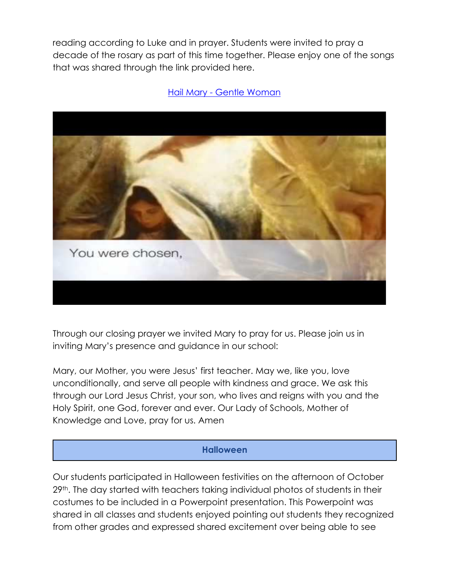reading according to Luke and in prayer. Students were invited to pray a decade of the rosary as part of this time together. Please enjoy one of the songs that was shared through the link provided here.

#### Hail Mary - [Gentle Woman](https://www.youtube.com/watch?v=RERoQ1biLdE)



Through our closing prayer we invited Mary to pray for us. Please join us in inviting Mary's presence and guidance in our school:

Mary, our Mother, you were Jesus' first teacher. May we, like you, love unconditionally, and serve all people with kindness and grace. We ask this through our Lord Jesus Christ, your son, who lives and reigns with you and the Holy Spirit, one God, forever and ever. Our Lady of Schools, Mother of Knowledge and Love, pray for us. Amen

#### **Halloween**

Our students participated in Halloween festivities on the afternoon of October 29th. The day started with teachers taking individual photos of students in their costumes to be included in a Powerpoint presentation. This Powerpoint was shared in all classes and students enjoyed pointing out students they recognized from other grades and expressed shared excitement over being able to see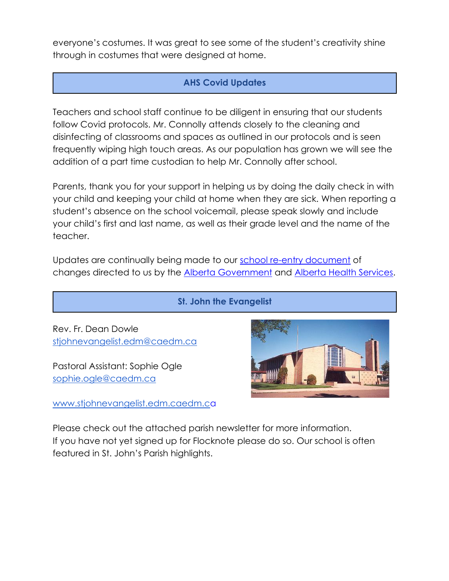everyone's costumes. It was great to see some of the student's creativity shine through in costumes that were designed at home.

# **AHS Covid Updates**

Teachers and school staff continue to be diligent in ensuring that our students follow Covid protocols. Mr. Connolly attends closely to the cleaning and disinfecting of classrooms and spaces as outlined in our protocols and is seen frequently wiping high touch areas. As our population has grown we will see the addition of a part time custodian to help Mr. Connolly after school.

Parents, thank you for your support in helping us by doing the daily check in with your child and keeping your child at home when they are sick. When reporting a student's absence on the school voicemail, please speak slowly and include your child's first and last name, as well as their grade level and the name of the teacher.

Updates are continually being made to our [school re-entry document](https://www.ecsd.net/page/7013/back-to-school-plan-for-the-2021-2022-school-year) of changes directed to us by the [Alberta Government](https://open.alberta.ca/dataset/13d2242a-d310-419e-960c-6fe273d0f7b3/resource/e5305366-17e9-4507-9487-8aa5afcd72f2/download/edc-school-year-plan-2021-2022.pdf) and [Alberta Health Services.](https://open.alberta.ca/dataset/0721a26b-c4ce-4345-971f-4ff9da32052c/resource/328bf258-bb1a-459b-b705-16b525390240/download/health-guidance-respiratory-illness-prevention-and-management-in-schools.pdf)

## **St. John the Evangelist**

Rev. Fr. Dean Dowle [stjohnevangelist.edm@caedm.ca](mailto:stjohnevangelist.edm@caedm.ca)

Pastoral Assistant: Sophie Ogle [sophie.ogle@caedm.ca](mailto:sophie.ogle@caedm.ca)

[www.stjohnevangelist.edm.caedm.ca](http://www.stjohnevangelist.edm.caedm.ca/)

Please check out the attached parish newsletter for more information. If you have not yet signed up for Flocknote please do so. Our school is often featured in St. John's Parish highlights.

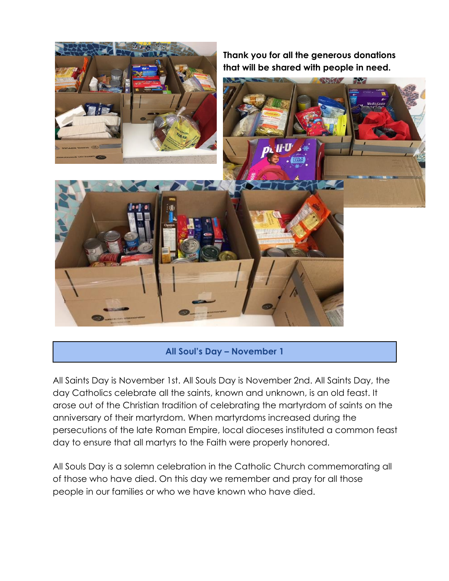

## **All Soul's Day – November 1**

All Saints Day is November 1st. All Souls Day is November 2nd. All Saints Day, the day Catholics celebrate all the saints, known and unknown, is an old feast. It arose out of the Christian tradition of celebrating the martyrdom of saints on the anniversary of their martyrdom. When martyrdoms increased during the persecutions of the late Roman Empire, local dioceses instituted a common feast day to ensure that all martyrs to the Faith were properly honored.

All Souls Day is a solemn celebration in the Catholic Church commemorating all of those who have died. On this day we remember and pray for all those people in our families or who we have known who have died.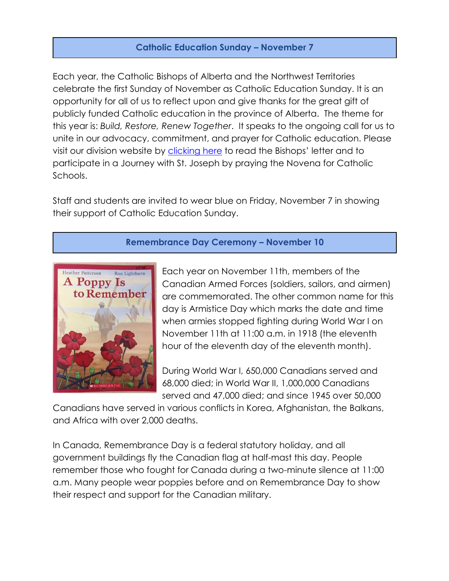## **Catholic Education Sunday – November 7**

Each year, the Catholic Bishops of Alberta and the Northwest Territories celebrate the first Sunday of November as Catholic Education Sunday. It is an opportunity for all of us to reflect upon and give thanks for the great gift of publicly funded Catholic education in the province of Alberta. The theme for this year is: *Build, Restore, Renew Together*. It speaks to the ongoing call for us to unite in our advocacy, commitment, and prayer for Catholic education. Please visit our division website by [clicking here](https://www.ecsd.net/_ci/p/11546/catholic-education-sunday) to read the Bishops' letter and to participate in a Journey with St. Joseph by praying the Novena for Catholic Schools.

Staff and students are invited to wear blue on Friday, November 7 in showing their support of Catholic Education Sunday.

## **Remembrance Day Ceremony – November 10**



Each year on November 11th, members of the Canadian Armed Forces (soldiers, sailors, and airmen) are commemorated. The other common name for this day is Armistice Day which marks the date and time when armies stopped fighting during World War I on November 11th at 11:00 a.m. in 1918 (the eleventh hour of the eleventh day of the eleventh month).

During World War I, 650,000 Canadians served and 68,000 died; in World War II, 1,000,000 Canadians served and 47,000 died; and since 1945 over 50,000

Canadians have served in various conflicts in Korea, Afghanistan, the Balkans, and Africa with over 2,000 deaths.

In Canada, Remembrance Day is a federal statutory holiday, and all government buildings fly the Canadian flag at half-mast this day. People remember those who fought for Canada during a two-minute silence at 11:00 a.m. Many people wear poppies before and on Remembrance Day to show their respect and support for the Canadian military.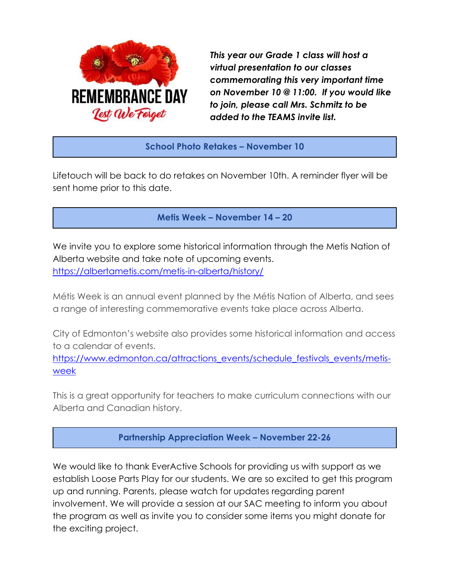

*This year our Grade 1 class will host a virtual presentation to our classes commemorating this very important time on November 10 @ 11:00. If you would like to join, please call Mrs. Schmitz to be added to the TEAMS invite list.*

**School Photo Retakes – November 10**

Lifetouch will be back to do retakes on November 10th. A reminder flyer will be sent home prior to this date.

**Metis Week – November 14 – 20**

We invite you to explore some historical information through the Metis Nation of Alberta website and take note of upcoming events. <https://albertametis.com/metis-in-alberta/history/>

Métis Week is an annual event planned by the Métis Nation of Alberta, and sees a range of interesting commemorative events take place across Alberta.

City of Edmonton's website also provides some historical information and access to a calendar of events.

[https://www.edmonton.ca/attractions\\_events/schedule\\_festivals\\_events/metis](https://www.edmonton.ca/attractions_events/schedule_festivals_events/metis-week)[week](https://www.edmonton.ca/attractions_events/schedule_festivals_events/metis-week)

This is a great opportunity for teachers to make curriculum connections with our Alberta and Canadian history.

**Partnership Appreciation Week – November 22-26**

We would like to thank EverActive Schools for providing us with support as we establish Loose Parts Play for our students. We are so excited to get this program up and running. Parents, please watch for updates regarding parent involvement. We will provide a session at our SAC meeting to inform you about the program as well as invite you to consider some items you might donate for the exciting project.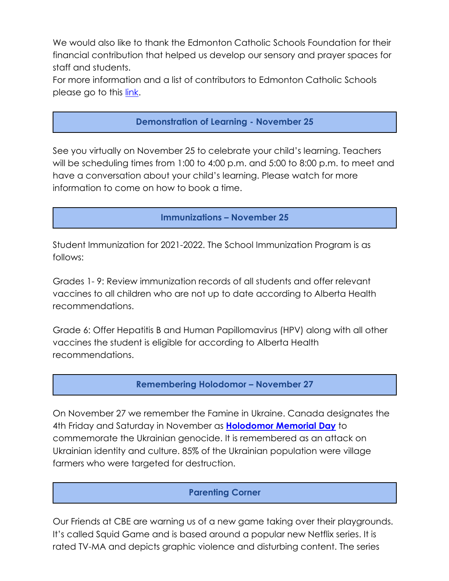We would also like to thank the Edmonton Catholic Schools Foundation for their financial contribution that helped us develop our sensory and prayer spaces for staff and students.

For more information and a list of contributors to Edmonton Catholic Schools please go to this [link.](https://www.ecsd.net/page/1767/celebrating-our-partners)

## **Demonstration of Learning - November 25**

See you virtually on November 25 to celebrate your child's learning. Teachers will be scheduling times from 1:00 to 4:00 p.m. and 5:00 to 8:00 p.m. to meet and have a conversation about your child's learning. Please watch for more information to come on how to book a time.

#### **Immunizations – November 25**

Student Immunization for 2021-2022. The School Immunization Program is as follows:

Grades 1- 9: Review immunization records of all students and offer relevant vaccines to all children who are not up to date according to Alberta Health recommendations.

Grade 6: Offer Hepatitis B and Human Papillomavirus (HPV) along with all other vaccines the student is eligible for according to Alberta Health recommendations.

#### **Remembering Holodomor – November 27**

On November 27 we remember the Famine in Ukraine. Canada designates the 4th Friday and Saturday in November as **[Holodomor Memorial Day](https://www.ecsd.net/page/1585/holodomor-memorial-day)** to commemorate the Ukrainian genocide. It is remembered as an attack on Ukrainian identity and culture. 85% of the Ukrainian population were village farmers who were targeted for destruction.

#### **Parenting Corner**

Our Friends at CBE are warning us of a new game taking over their playgrounds. It's called Squid Game and is based around a popular new Netflix series. It is rated TV-MA and depicts graphic violence and disturbing content. The series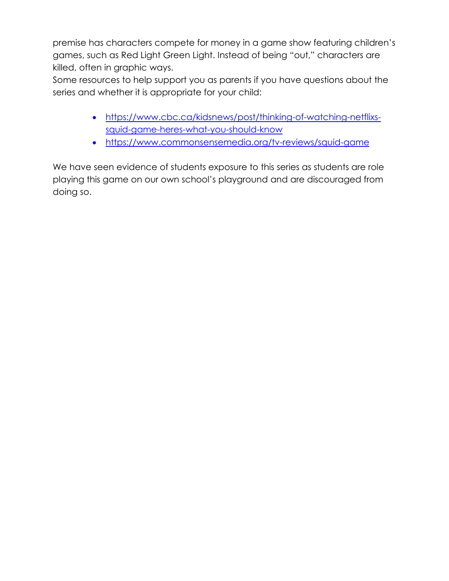premise has characters compete for money in a game show featuring children's games, such as Red Light Green Light. Instead of being "out," characters are killed, often in graphic ways.

Some resources to help support you as parents if you have questions about the series and whether it is appropriate for your child:

- [https://www.cbc.ca/kidsnews/post/thinking-of-watching-netflixs](https://can01.safelinks.protection.outlook.com/?url=https://www.cbc.ca/kidsnews/post/thinking-of-watching-netflixs-squid-game-heres-what-you-should-know&data=04%7c01%7cSusanna.Makale%40ecsd.net%7c515dadbedd894195c1ec08d98f287166%7cb18d9f6f0743460da19b0b3297eeeb89%7c0%7c0%7c637698226121815799%7cUnknown%7cTWFpbGZsb3d8eyJWIjoiMC4wLjAwMDAiLCJQIjoiV2luMzIiLCJBTiI6Ik1haWwiLCJXVCI6Mn0%3D%7c1000&sdata=eJgDHl3G70/8BYq0zNbs5cMJ3Pcm5axSutef69vE%2B%2BU%3D&reserved=0)[squid-game-heres-what-you-should-know](https://can01.safelinks.protection.outlook.com/?url=https://www.cbc.ca/kidsnews/post/thinking-of-watching-netflixs-squid-game-heres-what-you-should-know&data=04%7c01%7cSusanna.Makale%40ecsd.net%7c515dadbedd894195c1ec08d98f287166%7cb18d9f6f0743460da19b0b3297eeeb89%7c0%7c0%7c637698226121815799%7cUnknown%7cTWFpbGZsb3d8eyJWIjoiMC4wLjAwMDAiLCJQIjoiV2luMzIiLCJBTiI6Ik1haWwiLCJXVCI6Mn0%3D%7c1000&sdata=eJgDHl3G70/8BYq0zNbs5cMJ3Pcm5axSutef69vE%2B%2BU%3D&reserved=0)
- [https://www.commonsensemedia.org/tv-reviews/squid-game](https://can01.safelinks.protection.outlook.com/?url=https://www.commonsensemedia.org/tv-reviews/squid-game&data=04%7c01%7cSusanna.Makale%40ecsd.net%7c515dadbedd894195c1ec08d98f287166%7cb18d9f6f0743460da19b0b3297eeeb89%7c0%7c0%7c637698226121815799%7cUnknown%7cTWFpbGZsb3d8eyJWIjoiMC4wLjAwMDAiLCJQIjoiV2luMzIiLCJBTiI6Ik1haWwiLCJXVCI6Mn0%3D%7c1000&sdata=OFe0LQ2A2Rr70tltkzG6p119UCp%2BsvVsSysCbsLbOMc%3D&reserved=0)

We have seen evidence of students exposure to this series as students are role playing this game on our own school's playground and are discouraged from doing so.